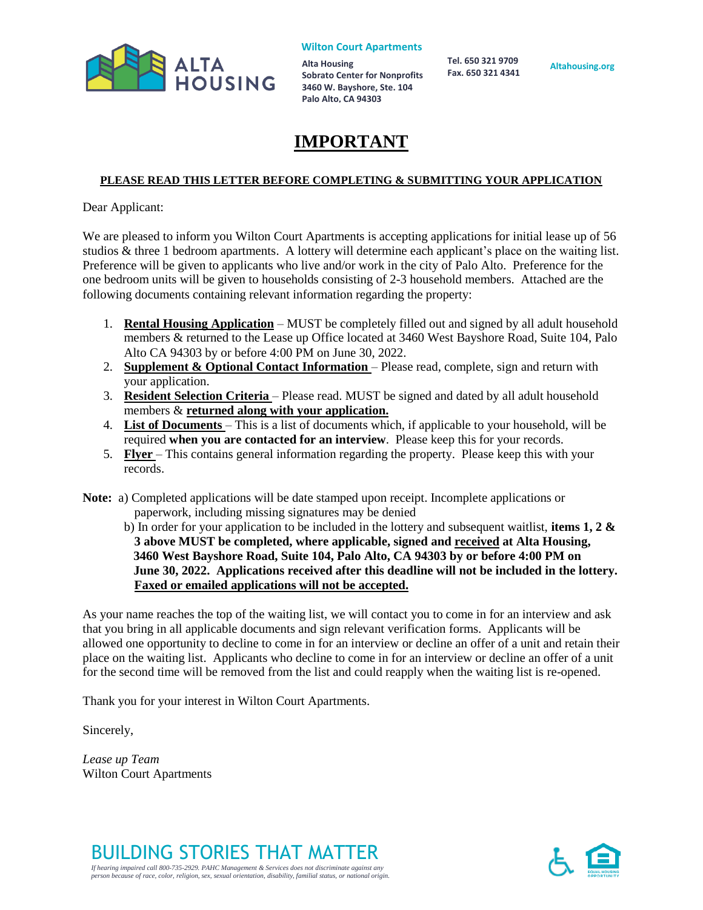

**Alta Housing Sobrato Center for Nonprofits 3460 W. Bayshore, Ste. 104 Palo Alto, CA 94303**

 **Tel. 650 321 9709 Fax. 650 321 4341**

**Altahousing.org**

# **IMPORTANT**

### **PLEASE READ THIS LETTER BEFORE COMPLETING & SUBMITTING YOUR APPLICATION**

Dear Applicant:

We are pleased to inform you Wilton Court Apartments is accepting applications for initial lease up of 56 studios & three 1 bedroom apartments. A lottery will determine each applicant's place on the waiting list. Preference will be given to applicants who live and/or work in the city of Palo Alto. Preference for the one bedroom units will be given to households consisting of 2-3 household members. Attached are the following documents containing relevant information regarding the property:

- 1. **Rental Housing Application** MUST be completely filled out and signed by all adult household members & returned to the Lease up Office located at 3460 West Bayshore Road, Suite 104, Palo Alto CA 94303 by or before 4:00 PM on June 30, 2022.
- 2. **Supplement & Optional Contact Information**  Please read, complete, sign and return with your application.
- 3. **Resident Selection Criteria**  Please read. MUST be signed and dated by all adult household members & **returned along with your application.**
- 4. **List of Documents**  This is a list of documents which, if applicable to your household, will be required **when you are contacted for an interview**. Please keep this for your records.
- 5. **Flyer**  This contains general information regarding the property. Please keep this with your records.

**Note:** a) Completed applications will be date stamped upon receipt. Incomplete applications or paperwork, including missing signatures may be denied

b) In order for your application to be included in the lottery and subsequent waitlist, **items 1, 2 & 3 above MUST be completed, where applicable, signed and received at Alta Housing, 3460 West Bayshore Road, Suite 104, Palo Alto, CA 94303 by or before 4:00 PM on June 30, 2022. Applications received after this deadline will not be included in the lottery. Faxed or emailed applications will not be accepted.**

As your name reaches the top of the waiting list, we will contact you to come in for an interview and ask that you bring in all applicable documents and sign relevant verification forms. Applicants will be allowed one opportunity to decline to come in for an interview or decline an offer of a unit and retain their place on the waiting list. Applicants who decline to come in for an interview or decline an offer of a unit for the second time will be removed from the list and could reapply when the waiting list is re-opened.

Thank you for your interest in Wilton Court Apartments.

Sincerely,

*Lease up Team* Wilton Court Apartments



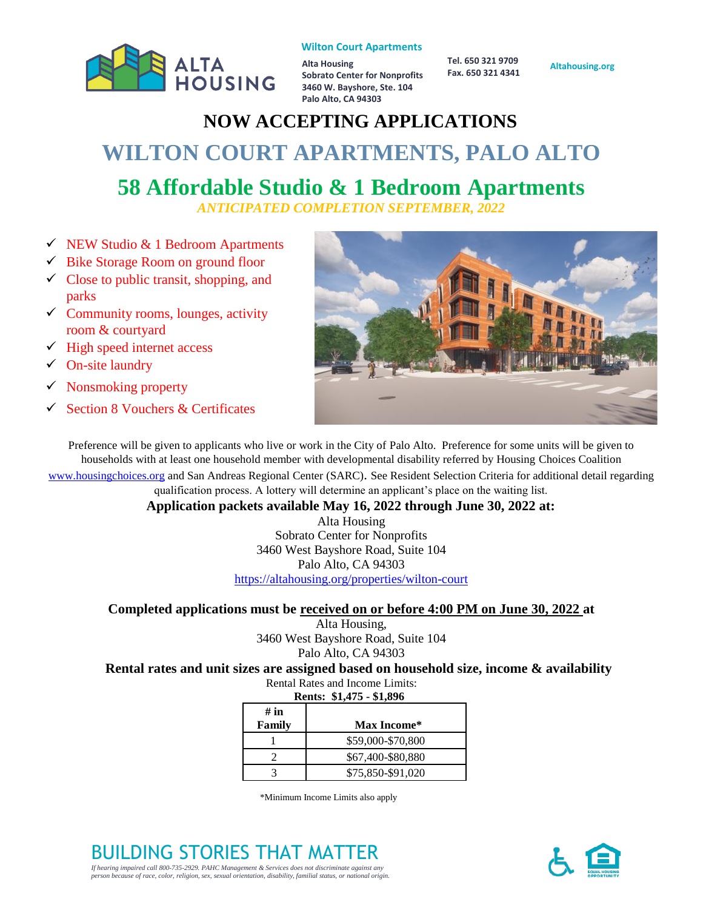

**Alta Housing Sobrato Center for Nonprofits 3460 W. Bayshore, Ste. 104 Palo Alto, CA 94303**

 **Tel. 650 321 9709 Fax. 650 321 4341**

#### **Altahousing.org**

# **NOW ACCEPTING APPLICATIONS WILTON COURT APARTMENTS, PALO ALTO**

# **58 Affordable Studio & 1 Bedroom Apartments**

*ANTICIPATED COMPLETION SEPTEMBER, 2022*

- $\checkmark$  NEW Studio & 1 Bedroom Apartments
- ✓ Bike Storage Room on ground floor
- $\checkmark$  Close to public transit, shopping, and parks
- $\checkmark$  Community rooms, lounges, activity room & courtyard
- $\checkmark$  High speed internet access
- $\checkmark$  On-site laundry
- $\checkmark$  Nonsmoking property
- ✓ Section 8 Vouchers & Certificates



Preference will be given to applicants who live or work in the City of Palo Alto. Preference for some units will be given to households with at least one household member with developmental disability referred by Housing Choices Coalition [www.housingchoices.org](http://www.housingchoices.org/) and San Andreas Regional Center (SARC). See Resident Selection Criteria for additional detail regarding qualification process. A lottery will determine an applicant's place on the waiting list.

**Application packets available May 16, 2022 through June 30, 2022 at:**

Alta Housing Sobrato Center for Nonprofits 3460 West Bayshore Road, Suite 104 Palo Alto, CA 94303 <https://altahousing.org/properties/wilton-court>

# **Completed applications must be received on or before 4:00 PM on June 30, 2022 at**

Alta Housing, 3460 West Bayshore Road, Suite 104 Palo Alto, CA 94303

# **Rental rates and unit sizes are assigned based on household size, income & availability**

Rental Rates and Income Limits:

| Rents: \$1,475 - \$1,896 |                   |  |
|--------------------------|-------------------|--|
| # in<br>Family           | Max Income*       |  |
|                          | \$59,000-\$70,800 |  |
|                          | \$67,400-\$80,880 |  |
|                          | \$75,850-\$91,020 |  |

\*Minimum Income Limits also apply

BUILDING STORIES THAT MATTER *If hearing impaired call 800-735-2929. PAHC Management & Services does not discriminate against any person because of race, color, religion, sex, sexual orientation, disability, familial status, or national origin.* 

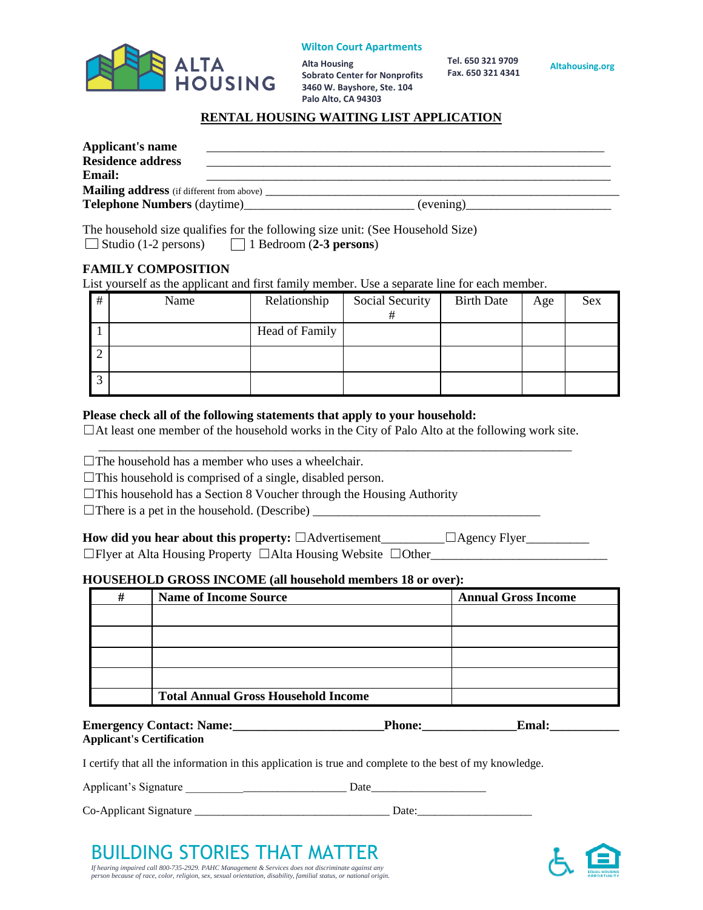

**Alta Housing Sobrato Center for Nonprofits 3460 W. Bayshore, Ste. 104 Palo Alto, CA 94303**

 **Tel. 650 321 9709 Fax. 650 321 4341**

**Altahousing.org**

#### **RENTAL HOUSING WAITING LIST APPLICATION**

| <b>Applicant's name</b>                           |           |  |
|---------------------------------------------------|-----------|--|
| <b>Residence address</b>                          |           |  |
| <b>Email:</b>                                     |           |  |
| Mailing address (if different from above) _______ |           |  |
|                                                   | (evening) |  |
|                                                   |           |  |

The household size qualifies for the following size unit: (See Household Size) Studio (1-2 persons) 1 Bedroom (**2-3 persons**)

#### **FAMILY COMPOSITION**

List yourself as the applicant and first family member. Use a separate line for each member.

| # | Name | Relationship   | Social Security | <b>Birth Date</b> | Age | Sex |
|---|------|----------------|-----------------|-------------------|-----|-----|
|   |      |                | #               |                   |     |     |
|   |      | Head of Family |                 |                   |     |     |
|   |      |                |                 |                   |     |     |
|   |      |                |                 |                   |     |     |
| ◠ |      |                |                 |                   |     |     |
|   |      |                |                 |                   |     |     |

#### **Please check all of the following statements that apply to your household:**

 $\Box$ At least one member of the household works in the City of Palo Alto at the following work site. \_\_\_\_\_\_\_\_\_\_\_\_\_\_\_\_\_\_\_\_\_\_\_\_\_\_\_\_\_\_\_\_\_\_\_\_\_\_\_\_\_\_\_\_\_\_\_\_\_\_\_\_\_\_\_\_\_\_\_\_\_\_\_\_\_\_\_\_\_\_\_\_\_\_\_

- $\Box$ The household has a member who uses a wheelchair.
- $\Box$ This household is comprised of a single, disabled person.
- $\Box$ This household has a Section 8 Voucher through the Housing Authority

☐There is a pet in the household. (Describe) \_\_\_\_\_\_\_\_\_\_\_\_\_\_\_\_\_\_\_\_\_\_\_\_\_\_\_\_\_\_\_\_\_\_\_\_

| How did you hear about this property: $\Box$ Advertisement                     | $\Box$ Agency Flyer |
|--------------------------------------------------------------------------------|---------------------|
| $\Box$ Flyer at Alta Housing Property $\Box$ Alta Housing Website $\Box$ Other |                     |

#### **HOUSEHOLD GROSS INCOME (all household members 18 or over):**

| # | <b>Name of Income Source</b>               | <b>Annual Gross Income</b> |
|---|--------------------------------------------|----------------------------|
|   |                                            |                            |
|   |                                            |                            |
|   |                                            |                            |
|   |                                            |                            |
|   | <b>Total Annual Gross Household Income</b> |                            |

| <b>Emergency Contact: Name:</b>  | <b>Phone:</b> | Emal: |  |
|----------------------------------|---------------|-------|--|
| <b>Applicant's Certification</b> |               |       |  |

I certify that all the information in this application is true and complete to the best of my knowledge.

Applicant's Signature \_\_\_\_\_\_\_\_\_\_\_\_\_\_\_\_\_\_\_\_\_\_\_\_\_\_\_\_ Date\_\_\_\_\_\_\_\_\_\_\_\_\_\_\_\_\_\_\_\_

Co-Applicant Signature \_\_\_\_\_\_\_\_\_\_\_\_\_\_\_\_\_\_\_\_\_\_\_\_\_\_\_\_\_\_\_\_\_\_ Date:\_\_\_\_\_\_\_\_\_\_\_\_\_\_\_\_\_\_\_\_



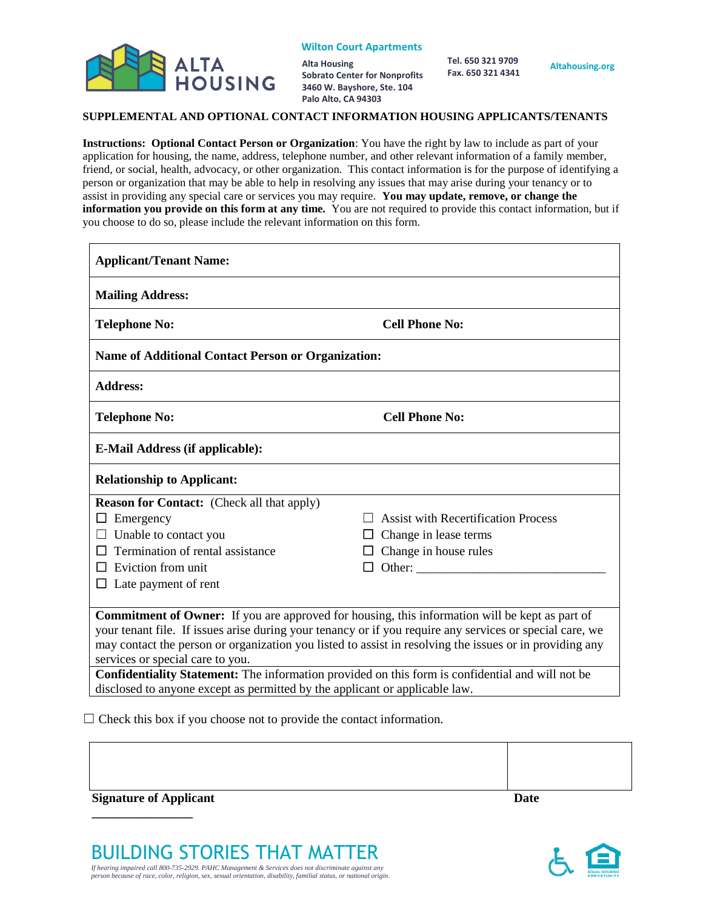

**Alta Housing Sobrato Center for Nonprofits 3460 W. Bayshore, Ste. 104 Palo Alto, CA 94303**

 **Tel. 650 321 9709 Fax. 650 321 4341**

#### **SUPPLEMENTAL AND OPTIONAL CONTACT INFORMATION HOUSING APPLICANTS/TENANTS**

**Instructions: Optional Contact Person or Organization**: You have the right by law to include as part of your application for housing, the name, address, telephone number, and other relevant information of a family member, friend, or social, health, advocacy, or other organization. This contact information is for the purpose of identifying a person or organization that may be able to help in resolving any issues that may arise during your tenancy or to assist in providing any special care or services you may require. **You may update, remove, or change the information you provide on this form at any time.** You are not required to provide this contact information, but if you choose to do so, please include the relevant information on this form.

| <b>Applicant/Tenant Name:</b>                                                                            |                                            |  |  |  |
|----------------------------------------------------------------------------------------------------------|--------------------------------------------|--|--|--|
| <b>Mailing Address:</b>                                                                                  |                                            |  |  |  |
| <b>Cell Phone No:</b><br><b>Telephone No:</b>                                                            |                                            |  |  |  |
| <b>Name of Additional Contact Person or Organization:</b>                                                |                                            |  |  |  |
| <b>Address:</b>                                                                                          |                                            |  |  |  |
| <b>Telephone No:</b>                                                                                     | <b>Cell Phone No:</b>                      |  |  |  |
| <b>E-Mail Address (if applicable):</b>                                                                   |                                            |  |  |  |
| <b>Relationship to Applicant:</b>                                                                        |                                            |  |  |  |
| <b>Reason for Contact:</b> (Check all that apply)                                                        |                                            |  |  |  |
| Emergency                                                                                                | <b>Assist with Recertification Process</b> |  |  |  |
| Unable to contact you                                                                                    | Change in lease terms<br>$\Box$            |  |  |  |
| Termination of rental assistance                                                                         | Change in house rules                      |  |  |  |
| Eviction from unit                                                                                       | Other:<br>$\Box$                           |  |  |  |
| Late payment of rent                                                                                     |                                            |  |  |  |
|                                                                                                          |                                            |  |  |  |
| <b>Commitment of Owner:</b> If you are approved for housing, this information will be kept as part of    |                                            |  |  |  |
| your tenant file. If issues arise during your tenancy or if you require any services or special care, we |                                            |  |  |  |
| may contact the person or organization you listed to assist in resolving the issues or in providing any  |                                            |  |  |  |
| services or special care to you.                                                                         |                                            |  |  |  |
| Confidentiality Statement: The information provided on this form is confidential and will not be         |                                            |  |  |  |
| disclosed to anyone except as permitted by the applicant or applicable law.                              |                                            |  |  |  |

 $\Box$  Check this box if you choose not to provide the contact information.

| <b>Signature of Applicant</b> | <b>Date</b> |
|-------------------------------|-------------|

BUILDING STORIES THAT MATTER *If hearing impaired call 800-735-2929. PAHC Management & Services does not discriminate against any person because of race, color, religion, sex, sexual orientation, disability, familial status, or national origin.* 

**\_\_\_\_\_\_\_\_\_\_\_\_\_\_\_\_** 

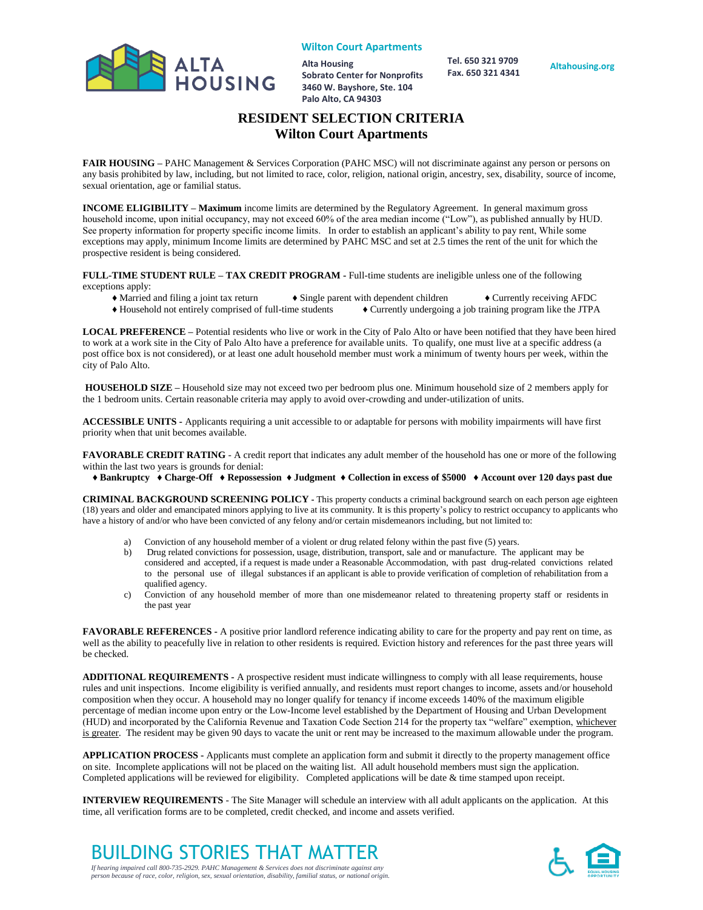

**Alta Housing Sobrato Center for Nonprofits 3460 W. Bayshore, Ste. 104 Palo Alto, CA 94303**

 **Tel. 650 321 9709 Fax. 650 321 4341**

**Altahousing.org**

## **RESIDENT SELECTION CRITERIA Wilton Court Apartments**

**FAIR HOUSING –** PAHC Management & Services Corporation (PAHC MSC) will not discriminate against any person or persons on any basis prohibited by law, including, but not limited to race, color, religion, national origin, ancestry, sex, disability, source of income, sexual orientation, age or familial status.

**INCOME ELIGIBILITY – Maximum** income limits are determined by the Regulatory Agreement. In general maximum gross household income, upon initial occupancy, may not exceed 60% of the area median income ("Low"), as published annually by HUD. See property information for property specific income limits. In order to establish an applicant's ability to pay rent, While some exceptions may apply, minimum Income limits are determined by PAHC MSC and set at 2.5 times the rent of the unit for which the prospective resident is being considered.

**FULL-TIME STUDENT RULE – TAX CREDIT PROGRAM -** Full-time students are ineligible unless one of the following exceptions apply:

- ♦ Married and filing a joint tax return ♦ Single parent with dependent children ♦ Currently receiving AFDC
- ♦ Household not entirely comprised of full-time students ♦ Currently undergoing a job training program like the JTPA

**LOCAL PREFERENCE –** Potential residents who live or work in the City of Palo Alto or have been notified that they have been hired to work at a work site in the City of Palo Alto have a preference for available units. To qualify, one must live at a specific address (a post office box is not considered), or at least one adult household member must work a minimum of twenty hours per week, within the city of Palo Alto.

**HOUSEHOLD SIZE –** Household size may not exceed two per bedroom plus one. Minimum household size of 2 members apply for the 1 bedroom units. Certain reasonable criteria may apply to avoid over-crowding and under-utilization of units.

**ACCESSIBLE UNITS -** Applicants requiring a unit accessible to or adaptable for persons with mobility impairments will have first priority when that unit becomes available.

**FAVORABLE CREDIT RATING** - A credit report that indicates any adult member of the household has one or more of the following within the last two years is grounds for denial:

♦ **Bankruptcy** ♦ **Charge-Off** ♦ **Repossession** ♦ **Judgment** ♦ **Collection in excess of \$5000** ♦ **Account over 120 days past due**

**CRIMINAL BACKGROUND SCREENING POLICY -** This property conducts a criminal background search on each person age eighteen (18) years and older and emancipated minors applying to live at its community. It is this property's policy to restrict occupancy to applicants who have a history of and/or who have been convicted of any felony and/or certain misdemeanors including, but not limited to:

- a) Conviction of any household member of a violent or drug related felony within the past five (5) years.
- b) Drug related convictions for possession, usage, distribution, transport, sale and or manufacture. The applicant may be considered and accepted, if a request is made under a Reasonable Accommodation, with past drug-related convictions related to the personal use of illegal substances if an applicant is able to provide verification of completion of rehabilitation from a qualified agency.
- c) Conviction of any household member of more than one misdemeanor related to threatening property staff or residents in the past year

**FAVORABLE REFERENCES -** A positive prior landlord reference indicating ability to care for the property and pay rent on time, as well as the ability to peacefully live in relation to other residents is required. Eviction history and references for the past three years will be checked.

**ADDITIONAL REQUIREMENTS -** A prospective resident must indicate willingness to comply with all lease requirements, house rules and unit inspections. Income eligibility is verified annually, and residents must report changes to income, assets and/or household composition when they occur. A household may no longer qualify for tenancy if income exceeds 140% of the maximum eligible percentage of median income upon entry or the Low-Income level established by the Department of Housing and Urban Development (HUD) and incorporated by the California Revenue and Taxation Code Section 214 for the property tax "welfare" exemption, whichever is greater. The resident may be given 90 days to vacate the unit or rent may be increased to the maximum allowable under the program.

**APPLICATION PROCESS -** Applicants must complete an application form and submit it directly to the property management office on site. Incomplete applications will not be placed on the waiting list. All adult household members must sign the application. Completed applications will be reviewed for eligibility. Completed applications will be date & time stamped upon receipt.

**INTERVIEW REQUIREMENTS** - The Site Manager will schedule an interview with all adult applicants on the application. At this time, all verification forms are to be completed, credit checked, and income and assets verified.

BUILDING STORIES THAT MATTER *If hearing impaired call 800-735-2929. PAHC Management & Services does not discriminate against any*

*person because of race, color, religion, sex, sexual orientation, disability, familial status, or national origin.* 

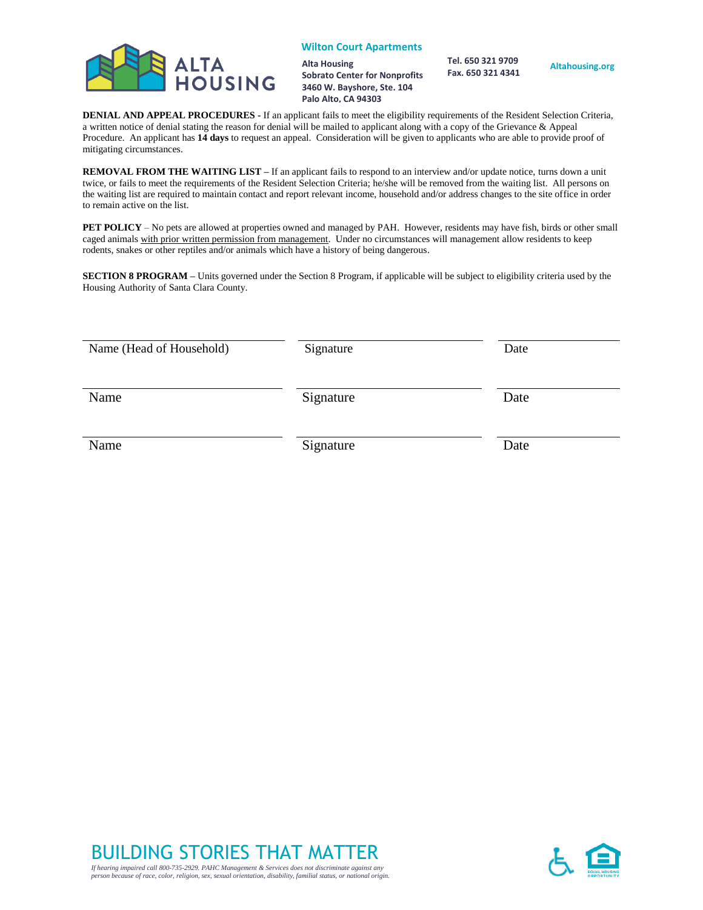

**Alta Housing Sobrato Center for Nonprofits 3460 W. Bayshore, Ste. 104 Palo Alto, CA 94303**

 **Tel. 650 321 9709 Fax. 650 321 4341**

**Altahousing.org**

**DENIAL AND APPEAL PROCEDURES -** If an applicant fails to meet the eligibility requirements of the Resident Selection Criteria, a written notice of denial stating the reason for denial will be mailed to applicant along with a copy of the Grievance & Appeal Procedure. An applicant has **14 days** to request an appeal. Consideration will be given to applicants who are able to provide proof of mitigating circumstances.

**REMOVAL FROM THE WAITING LIST –** If an applicant fails to respond to an interview and/or update notice, turns down a unit twice, or fails to meet the requirements of the Resident Selection Criteria; he/she will be removed from the waiting list. All persons on the waiting list are required to maintain contact and report relevant income, household and/or address changes to the site office in order to remain active on the list.

**PET POLICY** – No pets are allowed at properties owned and managed by PAH. However, residents may have fish, birds or other small caged animals with prior written permission from management. Under no circumstances will management allow residents to keep rodents, snakes or other reptiles and/or animals which have a history of being dangerous.

**SECTION 8 PROGRAM –** Units governed under the Section 8 Program, if applicable will be subject to eligibility criteria used by the Housing Authority of Santa Clara County.

| Name (Head of Household) | Signature | Date |
|--------------------------|-----------|------|
| Name                     | Signature | Date |
| Name                     | Signature | Date |